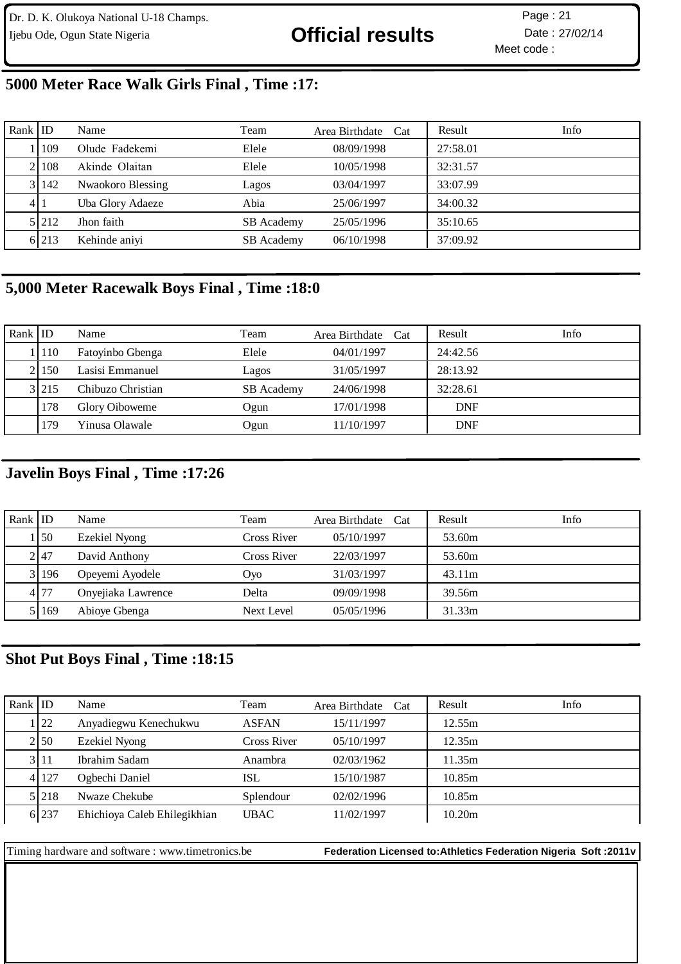# Ijebu Ode, Ogun State Nigeria **Christian Contract of Contract Contract Contract Contract Plane** Date : 27/02/14

Meet code : Page: 21

## **5000 Meter Race Walk Girls Final , Time :17:**

| Rank $ $ ID |             | Name              | Team              | Area Birthdate Cat | Result   | Info |
|-------------|-------------|-------------------|-------------------|--------------------|----------|------|
|             | 109         | Olude Fadekemi    | Elele             | 08/09/1998         | 27:58.01 |      |
|             | 21108       | Akinde Olaitan    | Elele             | 10/05/1998         | 32:31.57 |      |
|             | 3142        | Nwaokoro Blessing | Lagos             | 03/04/1997         | 33:07.99 |      |
|             | 411         | Uba Glory Adaeze  | Abia              | 25/06/1997         | 34:00.32 |      |
|             | 5 2 1 2 1 2 | Jhon faith        | <b>SB</b> Academy | 25/05/1996         | 35:10.65 |      |
|             | 6 213       | Kehinde aniyi     | SB Academy        | 06/10/1998         | 37:09.92 |      |

## **5,000 Meter Racewalk Boys Final , Time :18:0**

| Rank ID |         | Name              | Team              | Area Birthdate Cat | Result     | Info |
|---------|---------|-------------------|-------------------|--------------------|------------|------|
|         | . 110   | Fatoyinbo Gbenga  | Elele             | 04/01/1997         | 24:42.56   |      |
|         | 21150   | Lasisi Emmanuel   | Lagos             | 31/05/1997         | 28:13.92   |      |
|         | 3 2 1 5 | Chibuzo Christian | <b>SB</b> Academy | 24/06/1998         | 32:28.61   |      |
|         | 178     | Glory Oiboweme    | Ogun              | 17/01/1998         | <b>DNF</b> |      |
|         | 179     | Yinusa Olawale    | <b>Jgun</b>       | 11/10/1997         | <b>DNF</b> |      |

## **Javelin Boys Final , Time :17:26**

| Rank $ $ ID |            | Name               | Team               | Area Birthdate Cat | Info<br>Result |
|-------------|------------|--------------------|--------------------|--------------------|----------------|
|             | $\vert$ 50 | Ezekiel Nyong      | Cross River        | 05/10/1997         | 53.60m         |
|             | 2147       | David Anthony      | <b>Cross River</b> | 22/03/1997         | 53.60m         |
|             | 3 196      | Opeyemi Ayodele    | Ovo                | 31/03/1997         | 43.11m         |
|             | 4.77       | Onyejiaka Lawrence | Delta              | 09/09/1998         | 39.56m         |
|             | 5   169    | Abioye Gbenga      | Next Level         | 05/05/1996         | 31.33m         |

## **Shot Put Boys Final , Time :18:15**

| Rank $ID$ |         | Name                         | Team         | Area Birthdate Cat | Info<br>Result |  |
|-----------|---------|------------------------------|--------------|--------------------|----------------|--|
|           | 22      | Anyadiegwu Kenechukwu        | <b>ASFAN</b> | 15/11/1997         | 12.55m         |  |
|           | 2150    | Ezekiel Nyong                | Cross River  | 05/10/1997         | 12.35m         |  |
|           | 3 11    | Ibrahim Sadam                | Anambra      | 02/03/1962         | 11.35m         |  |
|           | 4 127   | Ogbechi Daniel               | ISL          | 15/10/1987         | 10.85m         |  |
|           | 5 2 1 8 | Nwaze Chekube                | Splendour    | 02/02/1996         | 10.85m         |  |
|           | 6 237   | Ehichioya Caleb Ehilegikhian | <b>UBAC</b>  | 11/02/1997         | 10.20m         |  |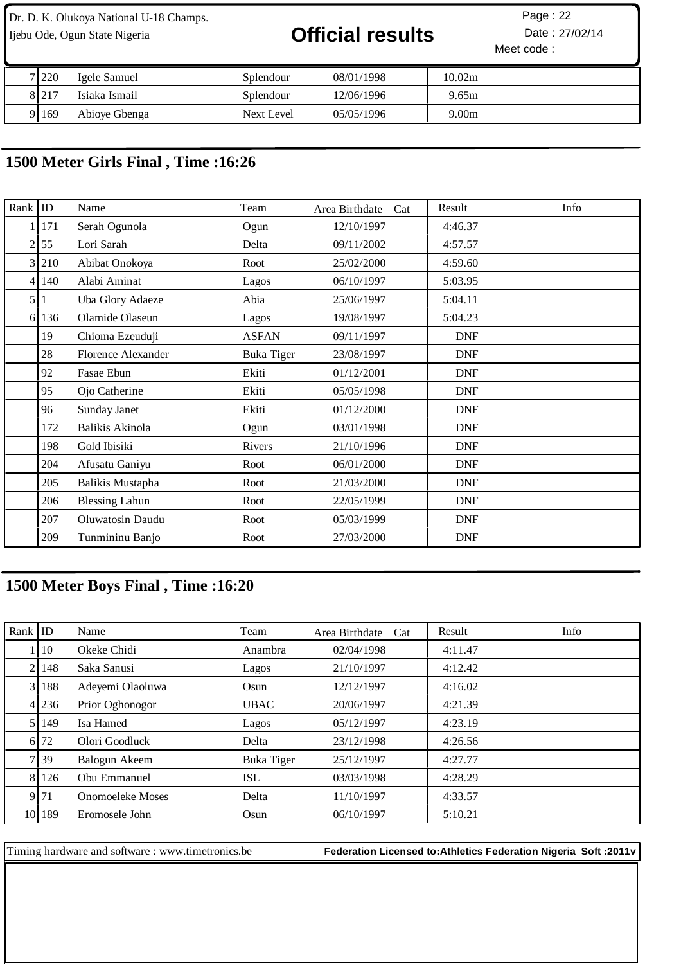# Ijebu Ode, Ogun State Nigeria **Contact Contact Contact Official results** Date : 27/02/14

Meet code : Page: 22

| 7 220   | Igele Samuel  | Splendour         | 08/01/1998 | 10.02m |
|---------|---------------|-------------------|------------|--------|
| 8 2 1 7 | Isiaka Ismail | Splendour         | 12/06/1996 | 9.65m  |
| 9169    | Abioye Gbenga | <b>Next Level</b> | 05/05/1996 | 9.00m  |

## **1500 Meter Girls Final , Time :16:26**

| Rank           | $ $ ID       | Name                      | Team              | Area Birthdate<br>Cat | Result<br>Info |
|----------------|--------------|---------------------------|-------------------|-----------------------|----------------|
|                | 171          | Serah Ogunola             | Ogun              | 12/10/1997            | 4:46.37        |
| 2              | 55           | Lori Sarah                | Delta             | 09/11/2002            | 4:57.57        |
| $\overline{3}$ | 210          | Abibat Onokoya            | Root              | 25/02/2000            | 4:59.60        |
| 4              | 140          | Alabi Aminat              | Lagos             | 06/10/1997            | 5:03.95        |
| 5              | $\mathbf{1}$ | Uba Glory Adaeze          | Abia              | 25/06/1997            | 5:04.11        |
| 61             | 136          | Olamide Olaseun           | Lagos             | 19/08/1997            | 5:04.23        |
|                | 19           | Chioma Ezeuduji           | <b>ASFAN</b>      | 09/11/1997            | <b>DNF</b>     |
|                | 28           | <b>Florence Alexander</b> | <b>Buka Tiger</b> | 23/08/1997            | <b>DNF</b>     |
|                | 92           | Fasae Ebun                | Ekiti             | 01/12/2001            | <b>DNF</b>     |
|                | 95           | Ojo Catherine             | Ekiti             | 05/05/1998            | <b>DNF</b>     |
|                | 96           | Sunday Janet              | Ekiti             | 01/12/2000            | <b>DNF</b>     |
|                | 172          | Balikis Akinola           | Ogun              | 03/01/1998            | <b>DNF</b>     |
|                | 198          | Gold Ibisiki              | Rivers            | 21/10/1996            | <b>DNF</b>     |
|                | 204          | Afusatu Ganiyu            | Root              | 06/01/2000            | <b>DNF</b>     |
|                | 205          | Balikis Mustapha          | Root              | 21/03/2000            | <b>DNF</b>     |
|                | 206          | <b>Blessing Lahun</b>     | Root              | 22/05/1999            | <b>DNF</b>     |
|                | 207          | Oluwatosin Daudu          | Root              | 05/03/1999            | <b>DNF</b>     |
|                | 209          | Tunmininu Banjo           | Root              | 27/03/2000            | <b>DNF</b>     |

## **1500 Meter Boys Final , Time :16:20**

| Rank $ $ ID |                 | Name             | Team              | Area Birthdate Cat | Result  | Info |
|-------------|-----------------|------------------|-------------------|--------------------|---------|------|
|             | $\overline{10}$ | Okeke Chidi      | Anambra           | 02/04/1998         | 4:11.47 |      |
|             | 2   148         | Saka Sanusi      | Lagos             | 21/10/1997         | 4:12.42 |      |
|             | 3 188           | Adeyemi Olaoluwa | Osun              | 12/12/1997         | 4:16.02 |      |
|             | 4 236           | Prior Oghonogor  | <b>UBAC</b>       | 20/06/1997         | 4:21.39 |      |
|             | 5 1 1 4 9       | Isa Hamed        | Lagos             | 05/12/1997         | 4:23.19 |      |
|             | 6 72            | Olori Goodluck   | Delta             | 23/12/1998         | 4:26.56 |      |
|             | 7 39            | Balogun Akeem    | <b>Buka Tiger</b> | 25/12/1997         | 4:27.77 |      |
|             | 8 126           | Obu Emmanuel     | <b>ISL</b>        | 03/03/1998         | 4:28.29 |      |
|             | 9 71            | Onomoeleke Moses | Delta             | 11/10/1997         | 4:33.57 |      |
|             | 10 189          | Eromosele John   | Osun              | 06/10/1997         | 5:10.21 |      |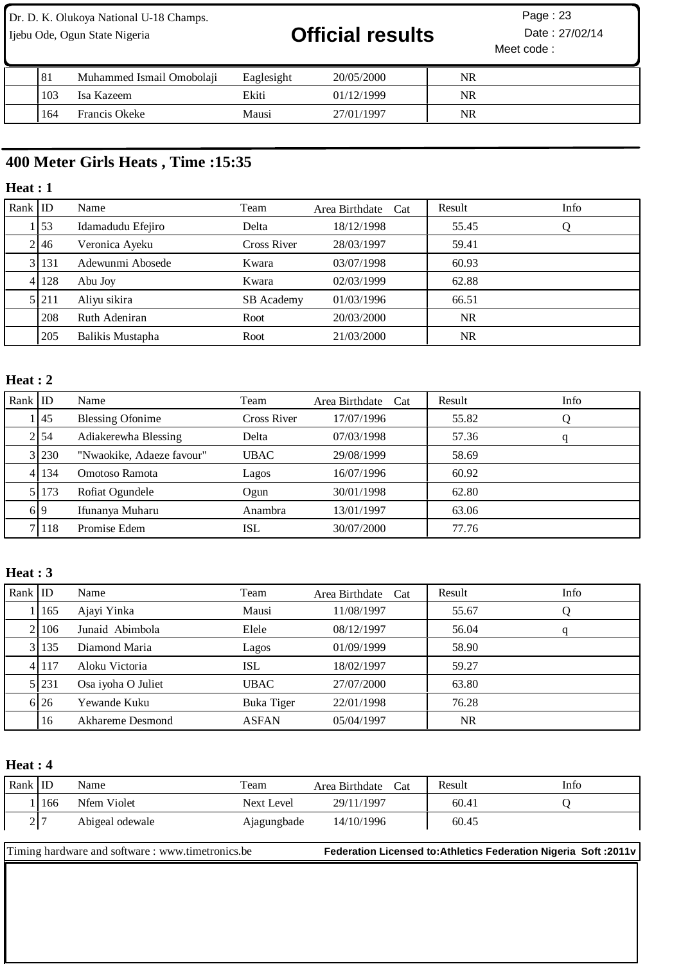# Ijebu Ode, Ogun State Nigeria **Contact Contact Contact Official results** Date : 27/02/14

Meet code : Page: 23

| 81  | Muhammed Ismail Omobolaii | Eaglesight | 20/05/2000 | NR |  |
|-----|---------------------------|------------|------------|----|--|
| 103 | Isa Kazeem                | Ekiti      | 01/12/1999 | NR |  |
| 164 | Francis Okeke             | Mausi      | 27/01/1997 | NR |  |

## **400 Meter Girls Heats , Time :15:35**

### **Heat : 1**

| Rank $ $ ID |                 | Name              | Team        | Area Birthdate Cat | Result    | Info |
|-------------|-----------------|-------------------|-------------|--------------------|-----------|------|
|             | $\frac{153}{2}$ | Idamadudu Efejiro | Delta       | 18/12/1998         | 55.45     | Ő    |
|             | 2146            | Veronica Ayeku    | Cross River | 28/03/1997         | 59.41     |      |
|             | 3 131           | Adewunmi Abosede  | Kwara       | 03/07/1998         | 60.93     |      |
|             | 4 1 2 8         | Abu Joy           | Kwara       | 02/03/1999         | 62.88     |      |
|             | 5 2 1 1         | Aliyu sikira      | SB Academy  | 01/03/1996         | 66.51     |      |
|             | 208             | Ruth Adeniran     | Root        | 20/03/2000         | <b>NR</b> |      |
|             | 205             | Balikis Mustapha  | Root        | 21/03/2000         | NR.       |      |

## **Heat : 2**

| Rank $ $ ID |           | Name                      | Team        | Area Birthdate<br>Cat | Result | Info |
|-------------|-----------|---------------------------|-------------|-----------------------|--------|------|
|             | 145       | <b>Blessing Ofonime</b>   | Cross River | 17/07/1996            | 55.82  |      |
|             | 2154      | Adiakerewha Blessing      | Delta       | 07/03/1998            | 57.36  | q    |
|             | 3 230     | "Nwaokike, Adaeze favour" | <b>UBAC</b> | 29/08/1999            | 58.69  |      |
|             | 4 1 1 3 4 | Omotoso Ramota            | Lagos       | 16/07/1996            | 60.92  |      |
|             | 51173     | Rofiat Ogundele           | Ogun        | 30/01/1998            | 62.80  |      |
|             | 619       | Ifunanya Muharu           | Anambra     | 13/01/1997            | 63.06  |      |
|             | 7   118   | Promise Edem              | ISL         | 30/07/2000            | 77.76  |      |

### **Heat : 3**

| Rank $ $ ID |           | Name               | Team              | Area Birthdate Cat | Result    | Info |
|-------------|-----------|--------------------|-------------------|--------------------|-----------|------|
|             | 165       | Ajayi Yinka        | Mausi             | 11/08/1997         | 55.67     | Q    |
|             | 2   10 6  | Junaid Abimbola    | Elele             | 08/12/1997         | 56.04     | q    |
|             | 3 1 1 3 5 | Diamond Maria      | Lagos             | 01/09/1999         | 58.90     |      |
|             | 4 1 1 1 7 | Aloku Victoria     | ISL               | 18/02/1997         | 59.27     |      |
|             | 5 231     | Osa iyoha O Juliet | <b>UBAC</b>       | 27/07/2000         | 63.80     |      |
|             | 6 26      | Yewande Kuku       | <b>Buka Tiger</b> | 22/01/1998         | 76.28     |      |
|             | 16        | Akhareme Desmond   | <b>ASFAN</b>      | 05/04/1997         | <b>NR</b> |      |

### **Heat : 4**

| Rank $ $ ID |     | Name            | Team        | Cat<br>Area Birthdate | Result | Info |
|-------------|-----|-----------------|-------------|-----------------------|--------|------|
|             | 166 | Nfem Violet     | Next Level  | 29/11/1997            | 60.41  |      |
|             | 2 7 | Abigeal odewale | Ajagungbade | 14/10/1996            | 60.45  |      |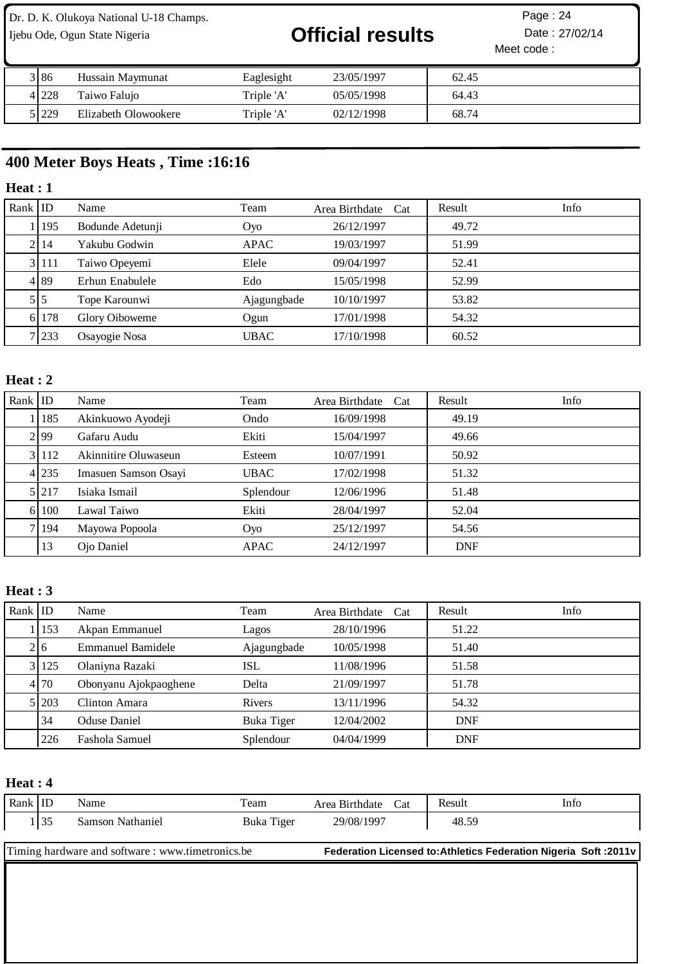Ijebu Ode, Ogun State Nigeria **Official results** Date : 27/02/14

Meet code : Page: 24

| 3 86  | Hussain Maymunat     | Eaglesight | 23/05/1997 | 62.45 |
|-------|----------------------|------------|------------|-------|
| 41228 | Taiwo Faluio         | Triple 'A' | 05/05/1998 | 64.43 |
| 51229 | Elizabeth Olowookere | Triple 'A' | 02/12/1998 | 68.74 |

## **400 Meter Boys Heats , Time :16:16**

### **Heat : 1**

| Rank IID |       | Name             | Team        | Area Birthdate Cat | Result | Info |
|----------|-------|------------------|-------------|--------------------|--------|------|
|          | 1195  | Bodunde Adetunji | Oyo         | 26/12/1997         | 49.72  |      |
|          | 2114  | Yakubu Godwin    | <b>APAC</b> | 19/03/1997         | 51.99  |      |
|          | 3 111 | Taiwo Opeyemi    | Elele       | 09/04/1997         | 52.41  |      |
|          | 4 89  | Erhun Enabulele  | Edo         | 15/05/1998         | 52.99  |      |
|          | 5 5   | Tope Karounwi    | Ajagungbade | 10/10/1997         | 53.82  |      |
|          | 6 178 | Glory Oiboweme   | Ogun        | 17/01/1998         | 54.32  |      |
|          | 7 233 | Osayogie Nosa    | <b>UBAC</b> | 17/10/1998         | 60.52  |      |

## **Heat : 2**

| Rank   ID |       | Name                 | Team        | Area Birthdate Cat | Info<br>Result |
|-----------|-------|----------------------|-------------|--------------------|----------------|
|           | 185   | Akinkuowo Ayodeji    | Ondo        | 16/09/1998         | 49.19          |
|           | 2199  | Gafaru Audu          | Ekiti       | 15/04/1997         | 49.66          |
|           | 31112 | Akinnitire Oluwaseun | Esteem      | 10/07/1991         | 50.92          |
|           | 4 235 | Imasuen Samson Osayi | <b>UBAC</b> | 17/02/1998         | 51.32          |
|           | 5 217 | Isiaka Ismail        | Splendour   | 12/06/1996         | 51.48          |
|           | 6 100 | Lawal Taiwo          | Ekiti       | 28/04/1997         | 52.04          |
|           | 71194 | Mayowa Popoola       | Oyo         | 25/12/1997         | 54.56          |
|           | 13    | Ojo Daniel           | <b>APAC</b> | 24/12/1997         | <b>DNF</b>     |

### **Heat : 3**

| Rank $ $ ID |       | Name                  | Team        | Area Birthdate Cat | Result     | Info |
|-------------|-------|-----------------------|-------------|--------------------|------------|------|
|             | 1 153 | Akpan Emmanuel        | Lagos       | 28/10/1996         | 51.22      |      |
|             | 2 6   | Emmanuel Bamidele     | Ajagungbade | 10/05/1998         | 51.40      |      |
|             | 3 125 | Olaniyna Razaki       | ISL         | 11/08/1996         | 51.58      |      |
|             | 4 70  | Obonyanu Ajokpaoghene | Delta       | 21/09/1997         | 51.78      |      |
|             | 5 203 | Clinton Amara         | Rivers      | 13/11/1996         | 54.32      |      |
|             | 34    | <b>Oduse Daniel</b>   | Buka Tiger  | 12/04/2002         | <b>DNF</b> |      |
|             | 226   | Fashola Samuel        | Splendour   | 04/04/1999         | <b>DNF</b> |      |

### **Heat : 4**

| l Rank l ID |                                                                                                                              | Name             | Team       | Area Birthdate Cat |  | Result | Info |
|-------------|------------------------------------------------------------------------------------------------------------------------------|------------------|------------|--------------------|--|--------|------|
|             | 135                                                                                                                          | Samson Nathaniel | Buka Tiger | 29/08/1997         |  | 48.59  |      |
|             |                                                                                                                              |                  |            |                    |  |        |      |
|             | Timing hardware and software : www.timetronics.be<br><b>Federation Licensed to: Athletics Federation Nigeria Soft: 2011v</b> |                  |            |                    |  |        |      |
|             |                                                                                                                              |                  |            |                    |  |        |      |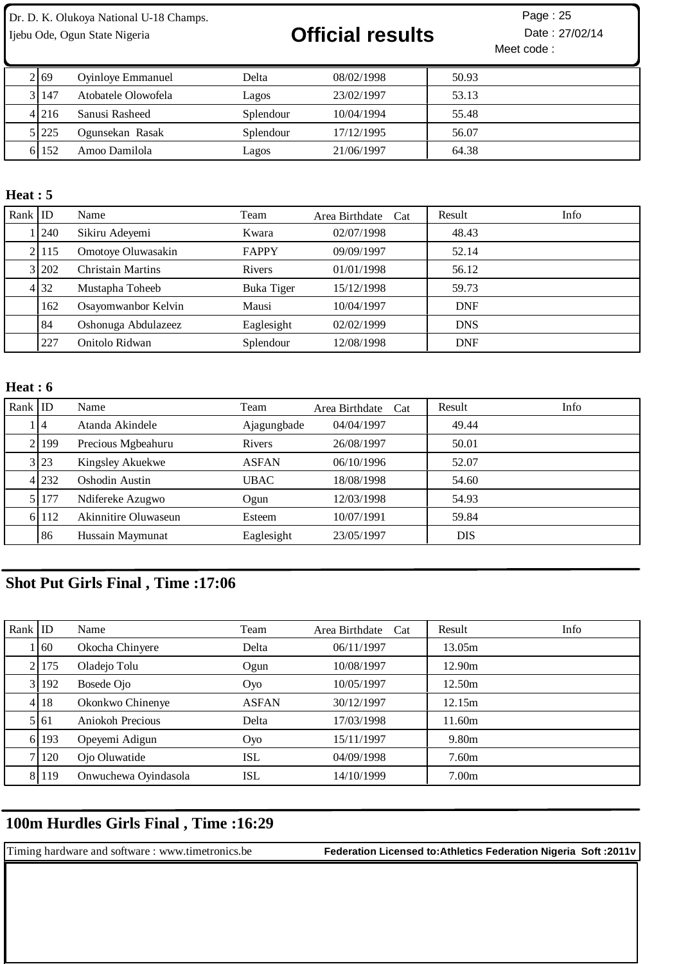# Ijebu Ode, Ogun State Nigeria **Contract Contract Official results** Date : 27/02/14

Meet code : Page: 25

| 2 69    | <b>Oyinloye Emmanuel</b> | Delta     | 08/02/1998 | 50.93 |
|---------|--------------------------|-----------|------------|-------|
| 3   147 | Atobatele Olowofela      | Lagos     | 23/02/1997 | 53.13 |
| 41216   | Sanusi Rasheed           | Splendour | 10/04/1994 | 55.48 |
| 51225   | Ogunsekan Rasak          | Splendour | 17/12/1995 | 56.07 |
| 6 152   | Amoo Damilola            | Lagos     | 21/06/1997 | 64.38 |

### **Heat : 5**

| Rank $ $ ID |       | Name                     | Team         | Area Birthdate<br>Cat | Result     | Info |
|-------------|-------|--------------------------|--------------|-----------------------|------------|------|
|             | 1240  | Sikiru Adeyemi           | Kwara        | 02/07/1998            | 48.43      |      |
|             | 2 115 | Omotoye Oluwasakin       | <b>FAPPY</b> | 09/09/1997            | 52.14      |      |
|             | 3 202 | <b>Christain Martins</b> | Rivers       | 01/01/1998            | 56.12      |      |
|             | 4 32  | Mustapha Toheeb          | Buka Tiger   | 15/12/1998            | 59.73      |      |
|             | 162   | Osayomwanbor Kelvin      | Mausi        | 10/04/1997            | <b>DNF</b> |      |
|             | -84   | Oshonuga Abdulazeez      | Eaglesight   | 02/02/1999            | <b>DNS</b> |      |
|             | 227   | Onitolo Ridwan           | Splendour    | 12/08/1998            | <b>DNF</b> |      |

### **Heat : 6**

| Rank $ $ ID |           | Name                 | Team        | Area Birthdate Cat | Result     | Info |
|-------------|-----------|----------------------|-------------|--------------------|------------|------|
|             | $\vert 4$ | Atanda Akindele      | Ajagungbade | 04/04/1997         | 49.44      |      |
|             | 2 199     | Precious Mgbeahuru   | Rivers      | 26/08/1997         | 50.01      |      |
|             | 3 23      | Kingsley Akuekwe     | ASFAN       | 06/10/1996         | 52.07      |      |
|             | 4 232     | Oshodin Austin       | <b>UBAC</b> | 18/08/1998         | 54.60      |      |
|             | 5 177     | Ndifereke Azugwo     | Ogun        | 12/03/1998         | 54.93      |      |
|             | 6 112     | Akinnitire Oluwaseun | Esteem      | 10/07/1991         | 59.84      |      |
|             | 86        | Hussain Maymunat     | Eaglesight  | 23/05/1997         | <b>DIS</b> |      |

## **Shot Put Girls Final , Time :17:06**

| Rank $ $ ID |         | Name                 | Team         | Area Birthdate Cat | Info<br>Result    |
|-------------|---------|----------------------|--------------|--------------------|-------------------|
|             | 160     | Okocha Chinyere      | Delta        | 06/11/1997         | 13.05m            |
|             | 2   175 | Oladejo Tolu         | Ogun         | 10/08/1997         | 12.90m            |
|             | 3 192   | Bosede Ojo           | Oyo          | 10/05/1997         | 12.50m            |
|             | 4 18    | Okonkwo Chinenye     | <b>ASFAN</b> | 30/12/1997         | 12.15m            |
|             | 5 61    | Aniokoh Precious     | Delta        | 17/03/1998         | 11.60m            |
|             | 6 193   | Opeyemi Adigun       | Oyo          | 15/11/1997         | 9.80 <sub>m</sub> |
|             | 7   120 | Ojo Oluwatide        | ISL          | 04/09/1998         | 7.60 <sub>m</sub> |
|             | 8 119   | Onwuchewa Oyindasola | ISL          | 14/10/1999         | 7.00 <sub>m</sub> |

## **100m Hurdles Girls Final , Time :16:29**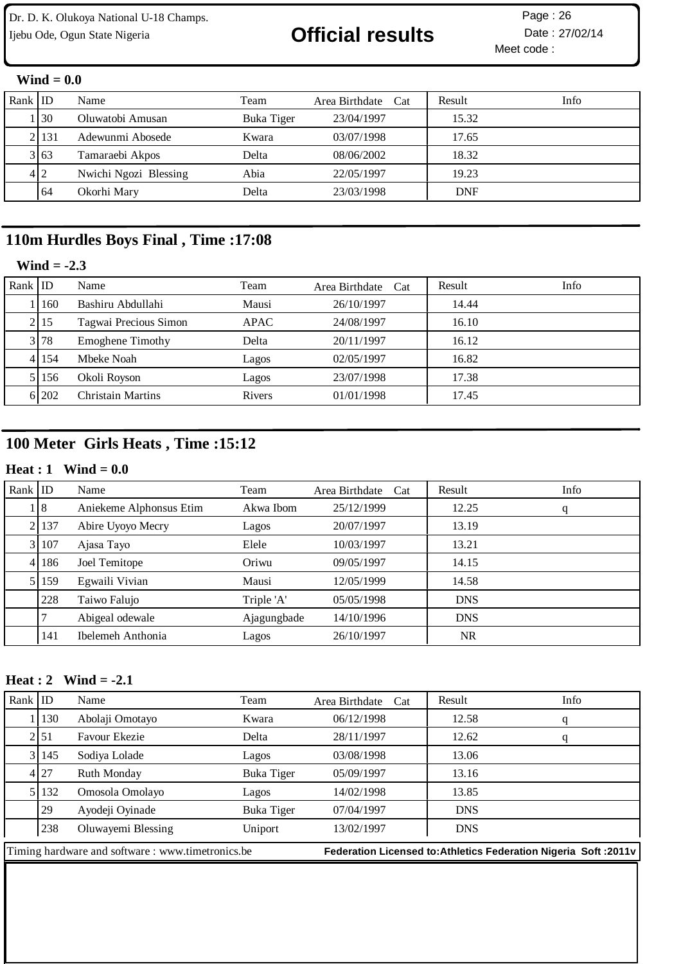# Ijebu Ode, Ogun State Nigeria **Christian Contain Contain Date : 27/02/14**

Meet code : Page: 26

### **Wind = 0.0**

| Rank $ $ ID |          | Name                  | Team       | Area Birthdate Cat | Result     | Info |
|-------------|----------|-----------------------|------------|--------------------|------------|------|
|             | 130      | Oluwatobi Amusan      | Buka Tiger | 23/04/1997         | 15.32      |      |
|             | 2   13 1 | Adewunmi Abosede      | Kwara      | 03/07/1998         | 17.65      |      |
|             | 3 63     | Tamaraebi Akpos       | Delta      | 08/06/2002         | 18.32      |      |
|             | 4 2      | Nwichi Ngozi Blessing | Abia       | 22/05/1997         | 19.23      |      |
|             | 64       | Okorhi Mary           | Delta      | 23/03/1998         | <b>DNF</b> |      |

## **110m Hurdles Boys Final , Time :17:08**

## **Wind = -2.3**

| Rank $ $ ID |           | Name                     | Team   | Area Birthdate Cat | Result | Info |
|-------------|-----------|--------------------------|--------|--------------------|--------|------|
|             | 160       | Bashiru Abdullahi        | Mausi  | 26/10/1997         | 14.44  |      |
|             | 2 15      | Tagwai Precious Simon    | APAC   | 24/08/1997         | 16.10  |      |
|             | 3 78      | <b>Emoghene Timothy</b>  | Delta  | 20/11/1997         | 16.12  |      |
|             | 4 1 1 5 4 | Mbeke Noah               | Lagos  | 02/05/1997         | 16.82  |      |
|             | 51156     | Okoli Royson             | Lagos  | 23/07/1998         | 17.38  |      |
|             | 6 202     | <b>Christain Martins</b> | Rivers | 01/01/1998         | 17.45  |      |

## **100 Meter Girls Heats , Time :15:12**

### **Heat : 1 Wind = 0.0**

| Rank $ $ ID |         | Name                    | Team        | Area Birthdate<br>Cat | Result     | Info |
|-------------|---------|-------------------------|-------------|-----------------------|------------|------|
|             | . 18    | Aniekeme Alphonsus Etim | Akwa Ibom   | 25/12/1999            | 12.25      | q    |
|             | 2   137 | Abire Uyoyo Mecry       | Lagos       | 20/07/1997            | 13.19      |      |
|             | 3 107   | Ajasa Tayo              | Elele       | 10/03/1997            | 13.21      |      |
|             | 4 186   | Joel Temitope           | Oriwu       | 09/05/1997            | 14.15      |      |
|             | 5 159   | Egwaili Vivian          | Mausi       | 12/05/1999            | 14.58      |      |
|             | 228     | Taiwo Falujo            | Triple 'A'  | 05/05/1998            | <b>DNS</b> |      |
|             |         | Abigeal odewale         | Ajagungbade | 14/10/1996            | <b>DNS</b> |      |
|             | 141     | Ibelemeh Anthonia       | Lagos       | 26/10/1997            | <b>NR</b>  |      |

### **Heat : 2 Wind = -2.1**

| Rank $ $ ID                                      |               | Name                 | Team       | Area Birthdate Cat                                                | Result     | Info |
|--------------------------------------------------|---------------|----------------------|------------|-------------------------------------------------------------------|------------|------|
|                                                  | 130           | Abolaji Omotayo      | Kwara      | 06/12/1998                                                        | 12.58      | q    |
|                                                  | 2 51          | <b>Favour Ekezie</b> | Delta      | 28/11/1997                                                        | 12.62      | q    |
|                                                  | 3 145         | Sodiya Lolade        | Lagos      | 03/08/1998                                                        | 13.06      |      |
|                                                  | 4 27          | Ruth Monday          | Buka Tiger | 05/09/1997                                                        | 13.16      |      |
|                                                  | 5 1 1 3 2     | Omosola Omolayo      | Lagos      | 14/02/1998                                                        | 13.85      |      |
|                                                  | <sup>29</sup> | Ayodeji Oyinade      | Buka Tiger | 07/04/1997                                                        | <b>DNS</b> |      |
|                                                  | 238           | Oluwayemi Blessing   | Uniport    | 13/02/1997                                                        | <b>DNS</b> |      |
| Timing hardware and software: www.timetronics.be |               |                      |            | Federation Licensed to: Athletics Federation Nigeria Soft : 2011v |            |      |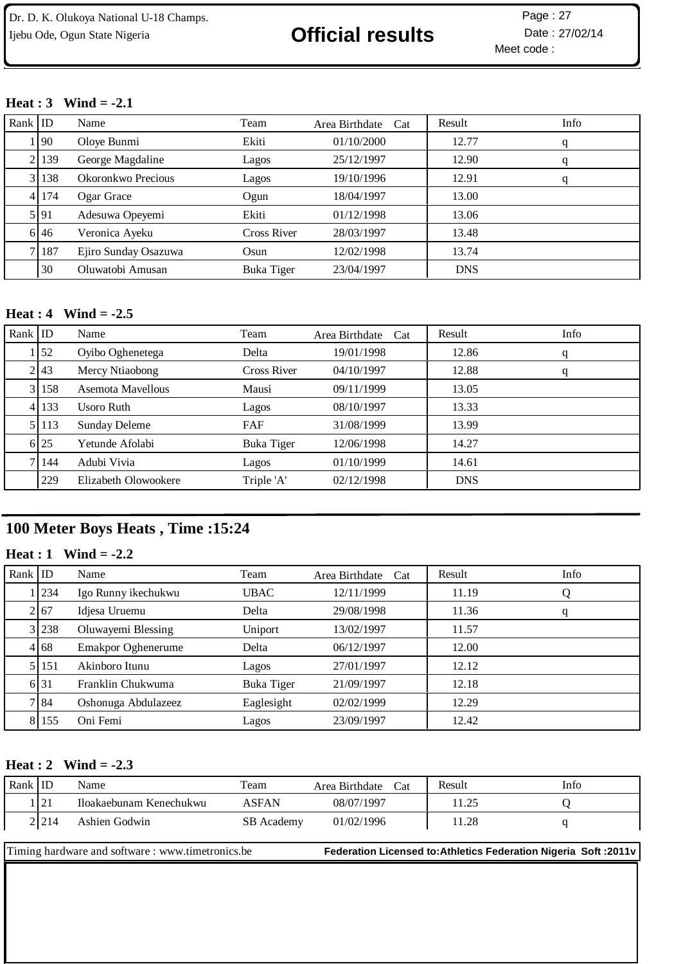Meet code : Page: 27

### **Heat : 3 Wind = -2.1**

| Rank $ $ ID |            | Name                 | Team        | Area Birthdate Cat | Result     | Info |
|-------------|------------|----------------------|-------------|--------------------|------------|------|
|             | <u>190</u> | Oloye Bunmi          | Ekiti       | 01/10/2000         | 12.77      | q    |
|             | 2 139      | George Magdaline     | Lagos       | 25/12/1997         | 12.90      | q    |
|             | 3 138      | Okoronkwo Precious   | Lagos       | 19/10/1996         | 12.91      | q    |
|             | 4 174      | Ogar Grace           | Ogun        | 18/04/1997         | 13.00      |      |
|             | 5.91       | Adesuwa Opeyemi      | Ekiti       | 01/12/1998         | 13.06      |      |
|             | 6 46       | Veronica Ayeku       | Cross River | 28/03/1997         | 13.48      |      |
|             | 7 187      | Ejiro Sunday Osazuwa | Osun        | 12/02/1998         | 13.74      |      |
|             | 30         | Oluwatobi Amusan     | Buka Tiger  | 23/04/1997         | <b>DNS</b> |      |

### **Heat : 4 Wind = -2.5**

| Rank $ $ ID |            | Name                 | Team        | Area Birthdate<br>Cat | Result     | Info |
|-------------|------------|----------------------|-------------|-----------------------|------------|------|
|             | $\vert$ 52 | Oyibo Oghenetega     | Delta       | 19/01/1998            | 12.86      | q    |
|             | 2 43       | Mercy Ntiaobong      | Cross River | 04/10/1997            | 12.88      | q    |
|             | 3 158      | Asemota Mayellous    | Mausi       | 09/11/1999            | 13.05      |      |
|             | 4 133      | Usoro Ruth           | Lagos       | 08/10/1997            | 13.33      |      |
|             | 5 113      | <b>Sunday Deleme</b> | FAF         | 31/08/1999            | 13.99      |      |
|             | 6 25       | Yetunde Afolabi      | Buka Tiger  | 12/06/1998            | 14.27      |      |
|             | 7   144    | Adubi Vivia          | Lagos       | 01/10/1999            | 14.61      |      |
|             | 229        | Elizabeth Olowookere | Triple 'A'  | 02/12/1998            | <b>DNS</b> |      |

## **100 Meter Boys Heats , Time :15:24**

### **Heat : 1 Wind = -2.2**

| Rank $ $ ID |           | Name                      | Team        | Area Birthdate<br>Cat | Result | Info |
|-------------|-----------|---------------------------|-------------|-----------------------|--------|------|
|             | 234       | Igo Runny ikechukwu       | <b>UBAC</b> | 12/11/1999            | 11.19  | Q    |
|             | 2 67      | Idjesa Uruemu             | Delta       | 29/08/1998            | 11.36  | q    |
|             | 3 238     | Oluwayemi Blessing        | Uniport     | 13/02/1997            | 11.57  |      |
|             | 4 6 6 8   | <b>Emakpor Oghenerume</b> | Delta       | 06/12/1997            | 12.00  |      |
|             | 5 1 1 5 1 | Akinboro Itunu            | Lagos       | 27/01/1997            | 12.12  |      |
|             | 6 31      | Franklin Chukwuma         | Buka Tiger  | 21/09/1997            | 12.18  |      |
|             | 7184      | Oshonuga Abdulazeez       | Eaglesight  | 02/02/1999            | 12.29  |      |
|             | 8 155     | Oni Femi                  | Lagos       | 23/09/1997            | 12.42  |      |

### **Heat : 2 Wind = -2.3**

| Rank ID                                                                                                              |       | Name                    | Team         | Area Birthdate Cat | Result | Info |
|----------------------------------------------------------------------------------------------------------------------|-------|-------------------------|--------------|--------------------|--------|------|
|                                                                                                                      | 121   | Iloakaebunam Kenechukwu | <b>ASFAN</b> | 08/07/1997         | 11.25  |      |
|                                                                                                                      | 2.214 | Ashien Godwin           | SB Academy   | 01/02/1996         | 11.28  |      |
| Timing hardware and software: www.timetronics.be<br>Federation Licensed to: Athletics Federation Nigeria Soft: 2011v |       |                         |              |                    |        |      |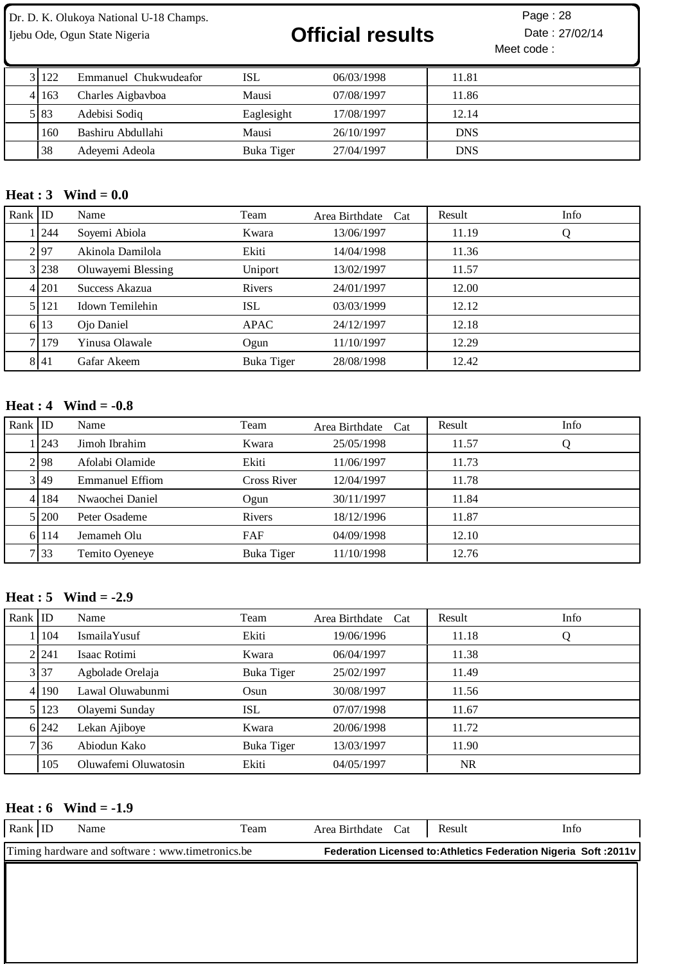# Ijebu Ode, Ogun State Nigeria **Christian Contract of Contract Contract Contract Contract Particle 27/02/14**

Meet code : Page: 28

| 3 122 | Emmanuel Chukwudeafor | ISL        | 06/03/1998 | 11.81      |
|-------|-----------------------|------------|------------|------------|
| 4163  | Charles Aigbayboa     | Mausi      | 07/08/1997 | 11.86      |
| 5183  | Adebisi Sodiq         | Eaglesight | 17/08/1997 | 12.14      |
| 160   | Bashiru Abdullahi     | Mausi      | 26/10/1997 | <b>DNS</b> |
| 38    | Adevemi Adeola        | Buka Tiger | 27/04/1997 | <b>DNS</b> |

### **Heat : 3 Wind = 0.0**

| Rank $ $ ID |           | Name               | Team       | Area Birthdate Cat | Result | Info |
|-------------|-----------|--------------------|------------|--------------------|--------|------|
|             | 1244      | Soyemi Abiola      | Kwara      | 13/06/1997         | 11.19  | Ő    |
|             | 2 97      | Akinola Damilola   | Ekiti      | 14/04/1998         | 11.36  |      |
|             | 3 238     | Oluwayemi Blessing | Uniport    | 13/02/1997         | 11.57  |      |
|             | 4 201     | Success Akazua     | Rivers     | 24/01/1997         | 12.00  |      |
|             | 5 1 1 2 1 | Idown Temilehin    | <b>ISL</b> | 03/03/1999         | 12.12  |      |
|             | 6 13      | Ojo Daniel         | APAC       | 24/12/1997         | 12.18  |      |
|             | 71179     | Yinusa Olawale     | Ogun       | 11/10/1997         | 12.29  |      |
|             | 8 41      | Gafar Akeem        | Buka Tiger | 28/08/1998         | 12.42  |      |

### **Heat : 4 Wind = -0.8**

| Rank $ $ ID |       | Name            | Team        | Area Birthdate Cat | Result | Info |
|-------------|-------|-----------------|-------------|--------------------|--------|------|
|             | 1243  | Jimoh Ibrahim   | Kwara       | 25/05/1998         | 11.57  | Ő    |
|             | 2.98  | Afolabi Olamide | Ekiti       | 11/06/1997         | 11.73  |      |
|             | 3 49  | Emmanuel Effiom | Cross River | 12/04/1997         | 11.78  |      |
|             | 4 184 | Nwaochei Daniel | Ogun        | 30/11/1997         | 11.84  |      |
|             | 5 200 | Peter Osademe   | Rivers      | 18/12/1996         | 11.87  |      |
|             | 6 114 | Jemameh Olu     | FAF         | 04/09/1998         | 12.10  |      |
|             | 7 33  | Temito Oyeneye  | Buka Tiger  | 11/10/1998         | 12.76  |      |

## **Heat : 5 Wind = -2.9**

| Rank $ $ ID |         | Name                 | Team       | Area Birthdate<br>Cat | Result    | Info |
|-------------|---------|----------------------|------------|-----------------------|-----------|------|
|             | 1   104 | IsmailaYusuf         | Ekiti      | 19/06/1996            | 11.18     | Q    |
|             | 2.241   | Isaac Rotimi         | Kwara      | 06/04/1997            | 11.38     |      |
|             | 3 37    | Agbolade Orelaja     | Buka Tiger | 25/02/1997            | 11.49     |      |
|             | 4 190   | Lawal Oluwabunmi     | Osun       | 30/08/1997            | 11.56     |      |
|             | 5 123   | Olayemi Sunday       | <b>ISL</b> | 07/07/1998            | 11.67     |      |
|             | 6 242   | Lekan Ajiboye        | Kwara      | 20/06/1998            | 11.72     |      |
|             | 7 3 6   | Abiodun Kako         | Buka Tiger | 13/03/1997            | 11.90     |      |
|             | 105     | Oluwafemi Oluwatosin | Ekiti      | 04/05/1997            | <b>NR</b> |      |

### **Heat : 6 Wind = -1.9**

| Rank ID | Name                                              | Team | Area Birthdate Cat | Result                                                            | Info |
|---------|---------------------------------------------------|------|--------------------|-------------------------------------------------------------------|------|
|         | Timing hardware and software : www.timetronics.be |      |                    | Federation Licensed to: Athletics Federation Nigeria Soft : 2011v |      |
|         |                                                   |      |                    |                                                                   |      |
|         |                                                   |      |                    |                                                                   |      |
|         |                                                   |      |                    |                                                                   |      |
|         |                                                   |      |                    |                                                                   |      |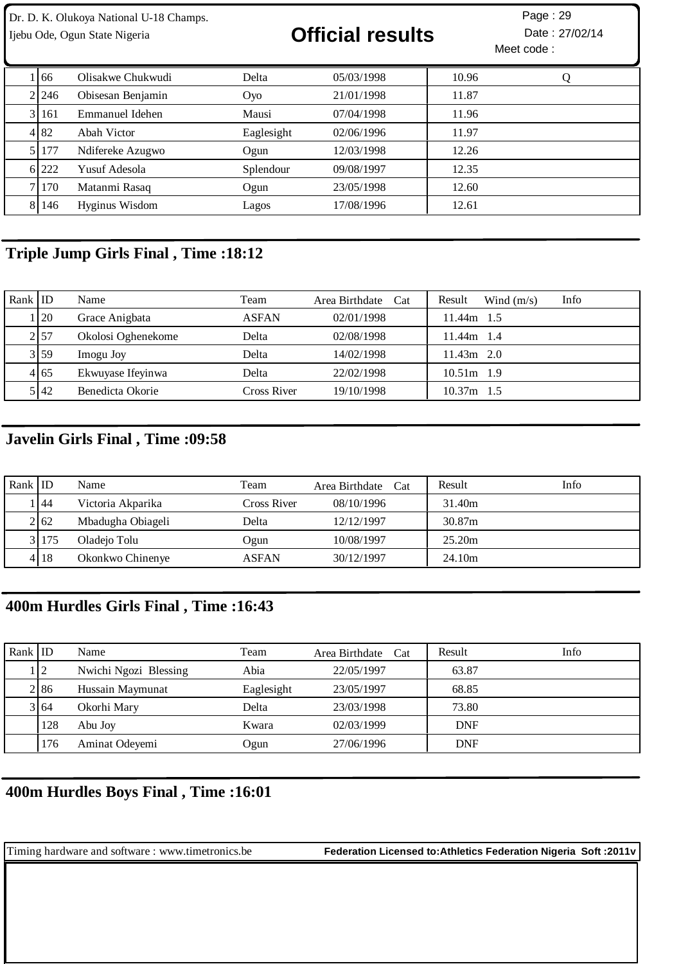| Dr. D. K. Olukoya National U-18 Champs.<br>Ijebu Ode, Ogun State Nigeria |            |                   |            | <b>Official results</b> |       | Page: 29<br>Date: 27/02/14<br>Meet code: |  |
|--------------------------------------------------------------------------|------------|-------------------|------------|-------------------------|-------|------------------------------------------|--|
|                                                                          | 66         | Olisakwe Chukwudi | Delta      | 05/03/1998              | 10.96 | Ő                                        |  |
|                                                                          | 2.246      | Obisesan Benjamin | Oyo        | 21/01/1998              | 11.87 |                                          |  |
|                                                                          | 3 161      | Emmanuel Idehen   | Mausi      | 07/04/1998              | 11.96 |                                          |  |
|                                                                          | 4 82       | Abah Victor       | Eaglesight | 02/06/1996              | 11.97 |                                          |  |
|                                                                          | 5 177      | Ndifereke Azugwo  | Ogun       | 12/03/1998              | 12.26 |                                          |  |
|                                                                          | 6 222      | Yusuf Adesola     | Splendour  | 09/08/1997              | 12.35 |                                          |  |
| 71                                                                       | <b>170</b> | Matanmi Rasaq     | Ogun       | 23/05/1998              | 12.60 |                                          |  |
|                                                                          | 8 146      | Hyginus Wisdom    | Lagos      | 17/08/1996              | 12.61 |                                          |  |

## **Triple Jump Girls Final , Time :18:12**

| Rank $ $ ID |      | Name               | Team         | Area Birthdate Cat | Info<br>Result<br>Wind $(m/s)$ |
|-------------|------|--------------------|--------------|--------------------|--------------------------------|
|             | 1120 | Grace Anigbata     | <b>ASFAN</b> | 02/01/1998         | 11.44m 1.5                     |
|             | 2157 | Okolosi Oghenekome | Delta        | 02/08/1998         | $11.44m$ 1.4                   |
|             | 3 59 | Imogu Joy          | Delta        | 14/02/1998         | $11.43m$ 2.0                   |
|             | 4165 | Ekwuyase Ifeyinwa  | Delta        | 22/02/1998         | $10.51m$ 1.9                   |
|             | 5142 | Benedicta Okorie   | Cross River  | 19/10/1998         | $10.37m$ 1.5                   |

## **Javelin Girls Final , Time :09:58**

| Rank $ $ ID |        | Name              | Team         | Area Birthdate Cat | Info<br>Result |  |
|-------------|--------|-------------------|--------------|--------------------|----------------|--|
|             | 44     | Victoria Akparika | Cross River  | 08/10/1996         | 31.40m         |  |
|             | 2 62   | Mbadugha Obiageli | Delta        | 12/12/1997         | 30.87m         |  |
|             | 31175  | Oladejo Tolu      | Ogun         | 10/08/1997         | 25.20m         |  |
|             | 4   18 | Okonkwo Chinenye  | <b>ASFAN</b> | 30/12/1997         | 24.10m         |  |

## **400m Hurdles Girls Final , Time :16:43**

| Rank   ID |      | Name                  | Team       | Area Birthdate Cat | Result     | Info |
|-----------|------|-----------------------|------------|--------------------|------------|------|
|           | ! 2  | Nwichi Ngozi Blessing | Abia       | 22/05/1997         | 63.87      |      |
|           | 2 86 | Hussain Maymunat      | Eaglesight | 23/05/1997         | 68.85      |      |
|           | 3164 | Okorhi Mary           | Delta      | 23/03/1998         | 73.80      |      |
|           | 128  | Abu Joy               | Kwara      | 02/03/1999         | <b>DNF</b> |      |
|           | 176  | Aminat Odeyemi        | Ogun       | 27/06/1996         | <b>DNF</b> |      |

## **400m Hurdles Boys Final , Time :16:01**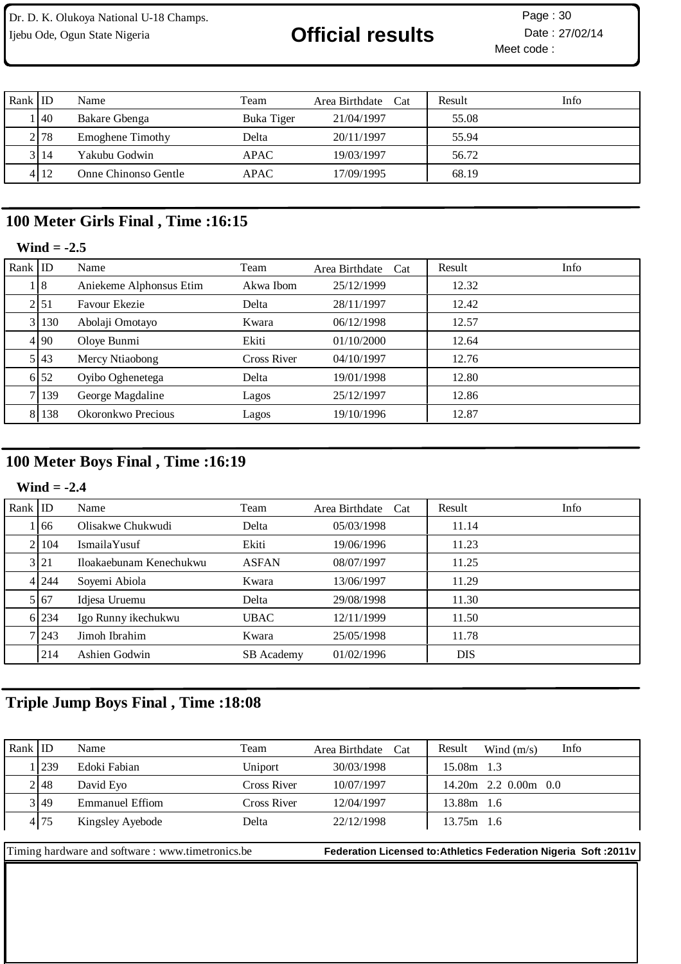# Ijebu Ode, Ogun State Nigeria **Contract Contract Official results** Date : 27/02/14

Meet code : Page: 30

| Rank ID |         | Name                    | Team       | Area Birthdate Cat | Result | Info |
|---------|---------|-------------------------|------------|--------------------|--------|------|
|         | 140     | Bakare Gbenga           | Buka Tiger | 21/04/1997         | 55.08  |      |
|         | 2 78    | <b>Emoghene Timothy</b> | Delta      | 20/11/1997         | 55.94  |      |
|         | 3 14    | Yakubu Godwin           | APAC       | 19/03/1997         | 56.72  |      |
|         | 4 1 1 2 | Onne Chinonso Gentle    | APAC       | 17/09/1995         | 68.19  |      |

## **100 Meter Girls Final , Time :16:15**

## **Wind = -2.5**

| Rank $ $ ID |                  | Name                    | Team               | Area Birthdate Cat | Result | Info |
|-------------|------------------|-------------------------|--------------------|--------------------|--------|------|
|             | 18               | Aniekeme Alphonsus Etim | Akwa Ibom          | 25/12/1999         | 12.32  |      |
|             | 21 <sub>51</sub> | Favour Ekezie           | Delta              | 28/11/1997         | 12.42  |      |
|             | 3 130            | Abolaji Omotayo         | Kwara              | 06/12/1998         | 12.57  |      |
|             | 4 90             | Oloye Bunmi             | Ekiti              | 01/10/2000         | 12.64  |      |
|             | 5 43             | Mercy Ntiaobong         | <b>Cross River</b> | 04/10/1997         | 12.76  |      |
|             | 6 52             | Oyibo Oghenetega        | Delta              | 19/01/1998         | 12.80  |      |
|             | 7 139            | George Magdaline        | Lagos              | 25/12/1997         | 12.86  |      |
|             | 8 1 1 3 8        | Okoronkwo Precious      | Lagos              | 19/10/1996         | 12.87  |      |

## **100 Meter Boys Final , Time :16:19**

### **Wind = -2.4**

| Rank ID |       | Name                    | Team              | Area Birthdate Cat | Result     | Info |
|---------|-------|-------------------------|-------------------|--------------------|------------|------|
|         | 166   | Olisakwe Chukwudi       | Delta             | 05/03/1998         | 11.14      |      |
|         | 21104 | IsmailaYusuf            | Ekiti             | 19/06/1996         | 11.23      |      |
|         | 3 21  | Iloakaebunam Kenechukwu | <b>ASFAN</b>      | 08/07/1997         | 11.25      |      |
|         | 4 244 | Soyemi Abiola           | Kwara             | 13/06/1997         | 11.29      |      |
|         | 5 67  | Idjesa Uruemu           | Delta             | 29/08/1998         | 11.30      |      |
|         | 6 234 | Igo Runny ikechukwu     | <b>UBAC</b>       | 12/11/1999         | 11.50      |      |
|         | 7 243 | Jimoh Ibrahim           | Kwara             | 25/05/1998         | 11.78      |      |
|         | 214   | Ashien Godwin           | <b>SB</b> Academy | 01/02/1996         | <b>DIS</b> |      |

## **Triple Jump Boys Final , Time :18:08**

| Rank $ $ ID                                       |         | Name                   | Team               | Area Birthdate Cat | Info<br>Result<br>Wind $(m/s)$                                    |
|---------------------------------------------------|---------|------------------------|--------------------|--------------------|-------------------------------------------------------------------|
|                                                   | Let 239 | Edoki Fabian           | Uniport            | 30/03/1998         | 15.08m 1.3                                                        |
|                                                   | 2148    | David Eyo              | <b>Cross River</b> | 10/07/1997         | $14.20m$ 2.2 0.00m 0.0                                            |
|                                                   | 3 49    | <b>Emmanuel Effiom</b> | Cross River        | 12/04/1997         | 13.88m 1.6                                                        |
|                                                   | 4 75    | Kingsley Ayebode       | Delta              | 22/12/1998         | $13.75m$ 1.6                                                      |
|                                                   |         |                        |                    |                    |                                                                   |
| Timing hardware and software : www.timetronics.be |         |                        |                    |                    | Federation Licensed to: Athletics Federation Nigeria Soft : 2011v |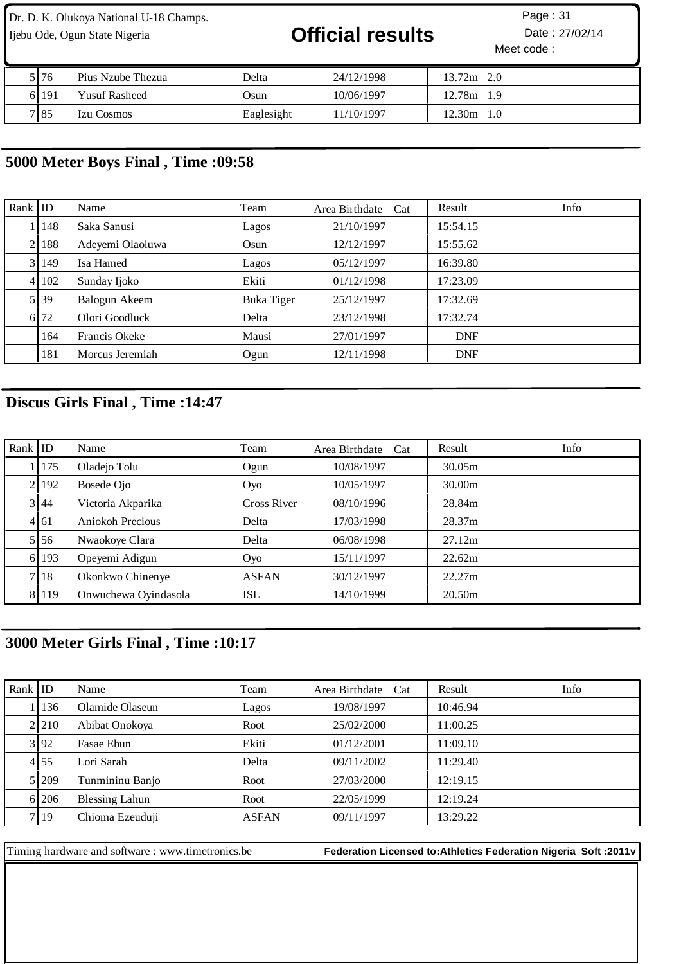Dr. D. K. Olukoya National U-18 Champs. Ijebu Ode, Ogun State Nigeria **Official results** Date : 27/02/14

| 5176   | Pius Nzube Thezua    | Delta      | 24/12/1998 | 13.72m<br>2.0     |
|--------|----------------------|------------|------------|-------------------|
| 6l 191 | <b>Yusuf Rasheed</b> | Osun       | 10/06/1997 | 12.78m<br>1.9     |
| 7 85   | <b>Izu Cosmos</b>    | Eaglesight | 11/10/1997 | 12.30m<br>$1.0\,$ |

## **5000 Meter Boys Final , Time :09:58**

| Rank $ $ ID |       | Name             | Team       | Area Birthdate Cat | Info<br>Result |
|-------------|-------|------------------|------------|--------------------|----------------|
|             | 148   | Saka Sanusi      | Lagos      | 21/10/1997         | 15:54.15       |
| 21          | 188   | Adeyemi Olaoluwa | Osun       | 12/12/1997         | 15:55.62       |
|             | 3 149 | Isa Hamed        | Lagos      | 05/12/1997         | 16:39.80       |
|             | 4 102 | Sunday Ijoko     | Ekiti      | 01/12/1998         | 17:23.09       |
|             | 5 39  | Balogun Akeem    | Buka Tiger | 25/12/1997         | 17:32.69       |
|             | 6 72  | Olori Goodluck   | Delta      | 23/12/1998         | 17:32.74       |
|             | 164   | Francis Okeke    | Mausi      | 27/01/1997         | <b>DNF</b>     |
|             | 181   | Morcus Jeremiah  | Ogun       | 12/11/1998         | <b>DNF</b>     |

## **Discus Girls Final , Time :14:47**

| Rank $ $ ID |       | Name                 | Team               | Area Birthdate Cat | Info<br>Result |
|-------------|-------|----------------------|--------------------|--------------------|----------------|
|             | 175   | Oladejo Tolu         | Ogun               | 10/08/1997         | 30.05m         |
|             | 2192  | Bosede Ojo           | Oyo                | 10/05/1997         | 30.00m         |
|             | 3 44  | Victoria Akparika    | <b>Cross River</b> | 08/10/1996         | 28.84m         |
|             | 4 61  | Aniokoh Precious     | Delta              | 17/03/1998         | 28.37m         |
|             | 5 56  | Nwaokoye Clara       | Delta              | 06/08/1998         | 27.12m         |
|             | 6 193 | Opeyemi Adigun       | Oyo                | 15/11/1997         | 22.62m         |
|             | 7 18  | Okonkwo Chinenye     | <b>ASFAN</b>       | 30/12/1997         | 22.27m         |
|             | 8 119 | Onwuchewa Oyindasola | ISL                | 14/10/1999         | 20.50m         |

## **3000 Meter Girls Final , Time :10:17**

| Rank   ID |       | Name                  | Team         | Area Birthdate Cat | Result   | Info |
|-----------|-------|-----------------------|--------------|--------------------|----------|------|
|           | 136   | Olamide Olaseun       | Lagos        | 19/08/1997         | 10:46.94 |      |
|           | 2.210 | Abibat Onokoya        | Root         | 25/02/2000         | 11:00.25 |      |
|           | 3 92  | Fasae Ebun            | Ekiti        | 01/12/2001         | 11:09.10 |      |
|           | 4155  | Lori Sarah            | Delta        | 09/11/2002         | 11:29.40 |      |
|           | 5 209 | Tunmininu Banjo       | Root         | 27/03/2000         | 12:19.15 |      |
|           | 61206 | <b>Blessing Lahun</b> | Root         | 22/05/1999         | 12:19.24 |      |
|           | 719   | Chioma Ezeuduji       | <b>ASFAN</b> | 09/11/1997         | 13:29.22 |      |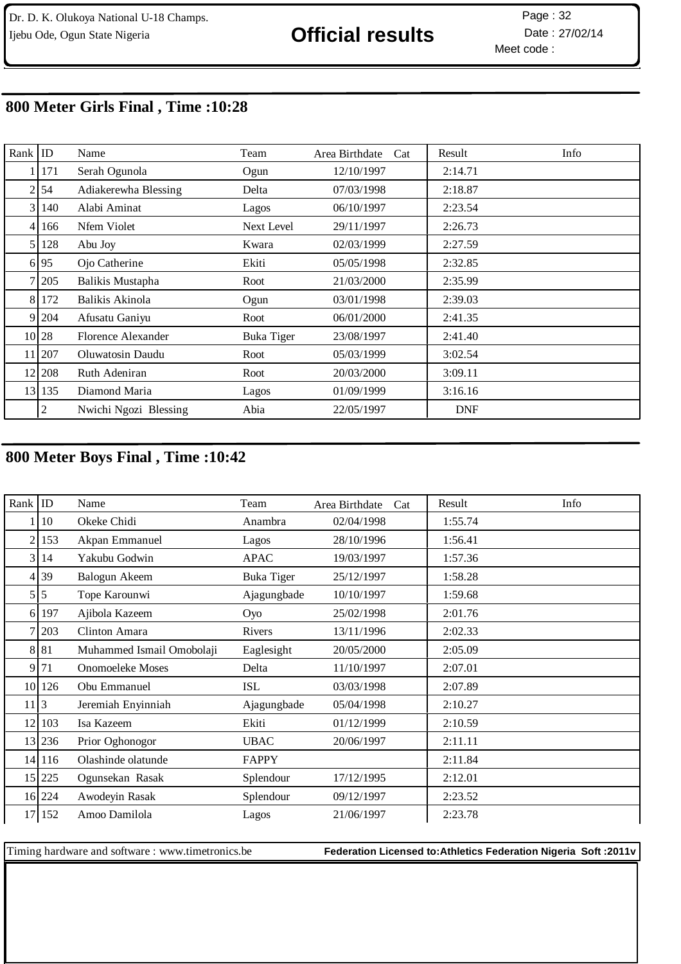Meet code : Page: 32

## **800 Meter Girls Final , Time :10:28**

| Rank           | ID             | Name                  | Team              | Area Birthdate<br>Cat | Info<br>Result |
|----------------|----------------|-----------------------|-------------------|-----------------------|----------------|
|                | 171            | Serah Ogunola         | Ogun              | 12/10/1997            | 2:14.71        |
| $\overline{2}$ | 54             | Adiakerewha Blessing  | Delta             | 07/03/1998            | 2:18.87        |
| $\overline{3}$ | 140            | Alabi Aminat          | Lagos             | 06/10/1997            | 2:23.54        |
| $\overline{4}$ | 166            | Nfem Violet           | Next Level        | 29/11/1997            | 2:26.73        |
| 5 <sub>l</sub> | 128            | Abu Joy               | Kwara             | 02/03/1999            | 2:27.59        |
|                | 6 95           | Ojo Catherine         | Ekiti             | 05/05/1998            | 2:32.85        |
| 7 <sup>1</sup> | 205            | Balikis Mustapha      | Root              | 21/03/2000            | 2:35.99        |
| 8              | 172            | Balikis Akinola       | Ogun              | 03/01/1998            | 2:39.03        |
| 9              | 204            | Afusatu Ganiyu        | Root              | 06/01/2000            | 2:41.35        |
|                | 10 28          | Florence Alexander    | <b>Buka Tiger</b> | 23/08/1997            | 2:41.40        |
|                | 11 207         | Oluwatosin Daudu      | Root              | 05/03/1999            | 3:02.54        |
|                | 12 208         | Ruth Adeniran         | Root              | 20/03/2000            | 3:09.11        |
|                | 13 135         | Diamond Maria         | Lagos             | 01/09/1999            | 3:16.16        |
|                | $\overline{c}$ | Nwichi Ngozi Blessing | Abia              | 22/05/1997            | <b>DNF</b>     |

## **800 Meter Boys Final , Time :10:42**

| Rank           | $ $ ID        | Name                      | Team              | Area Birthdate<br>Cat | Result<br>Info |
|----------------|---------------|---------------------------|-------------------|-----------------------|----------------|
|                | 10            | Okeke Chidi               | Anambra           | 02/04/1998            | 1:55.74        |
| 2              | 153           | Akpan Emmanuel            | Lagos             | 28/10/1996            | 1:56.41        |
| $\overline{3}$ | 14            | Yakubu Godwin             | <b>APAC</b>       | 19/03/1997            | 1:57.36        |
|                | 4 39          | Balogun Akeem             | <b>Buka Tiger</b> | 25/12/1997            | 1:58.28        |
|                | 5 5           | Tope Karounwi             | Ajagungbade       | 10/10/1997            | 1:59.68        |
| 6I             | 197           | Ajibola Kazeem            | Oyo               | 25/02/1998            | 2:01.76        |
|                | 203           | Clinton Amara             | Rivers            | 13/11/1996            | 2:02.33        |
| 8              | 81            | Muhammed Ismail Omobolaji | Eaglesight        | 20/05/2000            | 2:05.09        |
| 9              | 71            | <b>Onomoeleke Moses</b>   | Delta             | 11/10/1997            | 2:07.01        |
|                | 10 126        | Obu Emmanuel              | <b>ISL</b>        | 03/03/1998            | 2:07.89        |
| 11             | 3             | Jeremiah Enyinniah        | Ajagungbade       | 05/04/1998            | 2:10.27        |
| 12             | 103           | Isa Kazeem                | Ekiti             | 01/12/1999            | 2:10.59        |
|                | 13 236        | Prior Oghonogor           | <b>UBAC</b>       | 20/06/1997            | 2:11.11        |
|                | 14 116        | Olashinde olatunde        | FAPPY             |                       | 2:11.84        |
|                | $15 \mid 225$ | Ogunsekan Rasak           | Splendour         | 17/12/1995            | 2:12.01        |
|                | $16$   224    | Awodeyin Rasak            | Splendour         | 09/12/1997            | 2:23.52        |
| 17             | 152           | Amoo Damilola             | Lagos             | 21/06/1997            | 2:23.78        |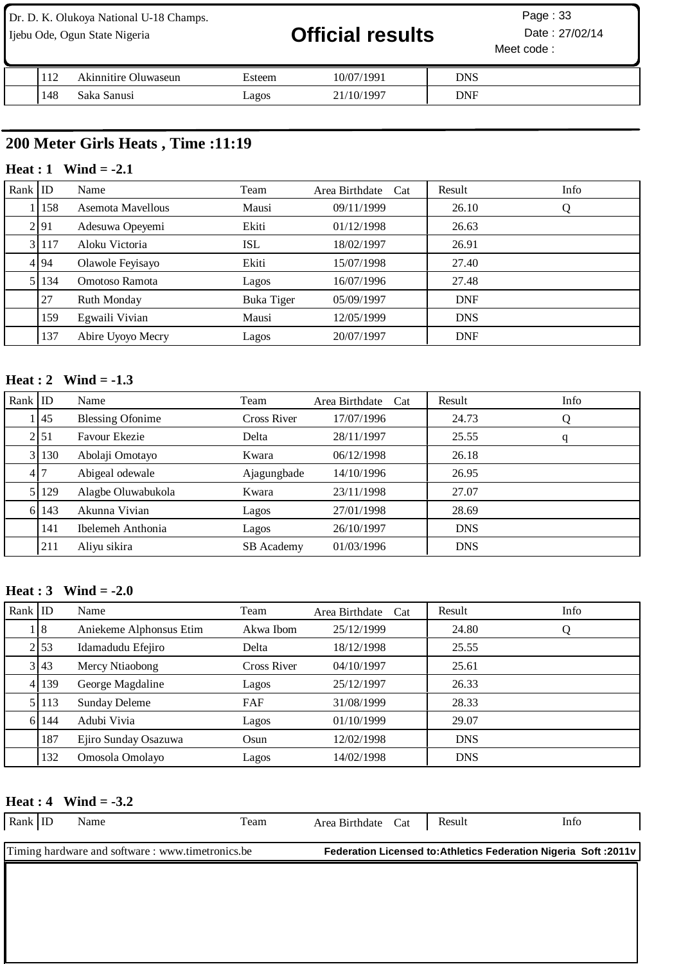| Dr. D. K. Olukoya National U-18 Champs.<br>Ijebu Ode, Ogun State Nigeria |     | <b>Official results</b> |        | Page: $33$<br>Date: 27/02/14<br>Meet code: |            |  |
|--------------------------------------------------------------------------|-----|-------------------------|--------|--------------------------------------------|------------|--|
|                                                                          | 112 | Akinnitire Oluwaseun    | Esteem | 10/07/1991                                 | <b>DNS</b> |  |
|                                                                          | 148 | Saka Sanusi             | agos   | 21/10/1997                                 | <b>DNF</b> |  |

## **200 Meter Girls Heats , Time :11:19**

### **Heat : 1 Wind = -2.1**

| $Rank$ ID |           | Name              | Team              | Area Birthdate Cat | Result     | Info |
|-----------|-----------|-------------------|-------------------|--------------------|------------|------|
|           | 158       | Asemota Mayellous | Mausi             | 09/11/1999         | 26.10      | Q    |
|           | 2 91      | Adesuwa Opeyemi   | Ekiti             | 01/12/1998         | 26.63      |      |
|           | 3 117     | Aloku Victoria    | <b>ISL</b>        | 18/02/1997         | 26.91      |      |
|           | 4 94      | Olawole Feyisayo  | Ekiti             | 15/07/1998         | 27.40      |      |
|           | 5 1 1 3 4 | Omotoso Ramota    | Lagos             | 16/07/1996         | 27.48      |      |
|           | 27        | Ruth Monday       | <b>Buka Tiger</b> | 05/09/1997         | <b>DNF</b> |      |
|           | 159       | Egwaili Vivian    | Mausi             | 12/05/1999         | <b>DNS</b> |      |
|           | 137       | Abire Uyoyo Mecry | Lagos             | 20/07/1997         | <b>DNF</b> |      |

### **Heat : 2 Wind = -1.3**

| $Rank$ ID |                  | Name                    | Team               | Area Birthdate Cat | Result     | Info |
|-----------|------------------|-------------------------|--------------------|--------------------|------------|------|
|           | $\vert 45 \vert$ | <b>Blessing Ofonime</b> | <b>Cross River</b> | 17/07/1996         | 24.73      | Q    |
|           | 2 51             | Favour Ekezie           | Delta              | 28/11/1997         | 25.55      | q    |
|           | 3 130            | Abolaji Omotayo         | Kwara              | 06/12/1998         | 26.18      |      |
|           | 417              | Abigeal odewale         | Ajagungbade        | 14/10/1996         | 26.95      |      |
|           | 5 129            | Alagbe Oluwabukola      | Kwara              | 23/11/1998         | 27.07      |      |
|           | 6 143            | Akunna Vivian           | Lagos              | 27/01/1998         | 28.69      |      |
|           | 141              | Ibelemeh Anthonia       | Lagos              | 26/10/1997         | <b>DNS</b> |      |
|           | 211              | Aliyu sikira            | <b>SB</b> Academy  | 01/03/1996         | <b>DNS</b> |      |

### **Heat : 3 Wind = -2.0**

| Rank $ $ ID |       | Name                    | Team        | Area Birthdate<br>Cat | Result     | Info |
|-------------|-------|-------------------------|-------------|-----------------------|------------|------|
|             | 18    | Aniekeme Alphonsus Etim | Akwa Ibom   | 25/12/1999            | 24.80      | Q    |
|             | 2 53  | Idamadudu Efejiro       | Delta       | 18/12/1998            | 25.55      |      |
|             | 3 43  | Mercy Ntiaobong         | Cross River | 04/10/1997            | 25.61      |      |
|             | 4 139 | George Magdaline        | Lagos       | 25/12/1997            | 26.33      |      |
|             | 5 113 | <b>Sunday Deleme</b>    | FAF         | 31/08/1999            | 28.33      |      |
|             | 6 144 | Adubi Vivia             | Lagos       | 01/10/1999            | 29.07      |      |
|             | 187   | Ejiro Sunday Osazuwa    | Osun        | 12/02/1998            | <b>DNS</b> |      |
|             | 132   | Omosola Omolayo         | Lagos       | 14/02/1998            | <b>DNS</b> |      |

### **Heat : 4 Wind = -3.2**

| Rank   ID                                         | Name | Team | Area Birthdate Cat                                                |  | Result | Info |  |
|---------------------------------------------------|------|------|-------------------------------------------------------------------|--|--------|------|--|
| Timing hardware and software : www.timetronics.be |      |      | Federation Licensed to: Athletics Federation Nigeria Soft : 2011v |  |        |      |  |
|                                                   |      |      |                                                                   |  |        |      |  |
|                                                   |      |      |                                                                   |  |        |      |  |
|                                                   |      |      |                                                                   |  |        |      |  |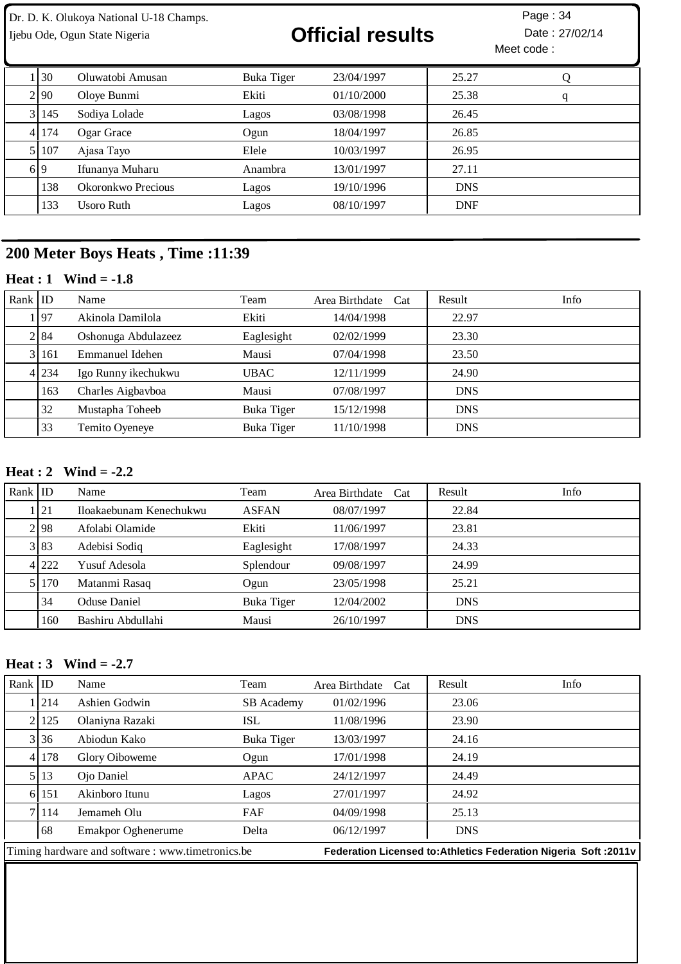# Ijebu Ode, Ogun State Nigeria **Christian Contract of Contract Contract Contract Contract Particle 27/02/14**

Meet code : Page: 34

| 130     | Oluwatobi Amusan   | Buka Tiger | 23/04/1997 | 25.27      | Q |
|---------|--------------------|------------|------------|------------|---|
| 2 90    | Oloye Bunmi        | Ekiti      | 01/10/2000 | 25.38      | q |
| 3 145   | Sodiya Lolade      | Lagos      | 03/08/1998 | 26.45      |   |
| 4 174   | Ogar Grace         | Ogun       | 18/04/1997 | 26.85      |   |
| 5   107 | Ajasa Tayo         | Elele      | 10/03/1997 | 26.95      |   |
| 6 9     | Ifunanya Muharu    | Anambra    | 13/01/1997 | 27.11      |   |
| 138     | Okoronkwo Precious | Lagos      | 19/10/1996 | <b>DNS</b> |   |
| 133     | Usoro Ruth         | Lagos      | 08/10/1997 | <b>DNF</b> |   |

## **200 Meter Boys Heats , Time :11:39**

## **Heat : 1 Wind = -1.8**

| Rank $ $ ID |       | Name                | Team              | Area Birthdate Cat | Result     | <b>Info</b> |
|-------------|-------|---------------------|-------------------|--------------------|------------|-------------|
|             | . 197 | Akinola Damilola    | Ekiti             | 14/04/1998         | 22.97      |             |
|             | 2 84  | Oshonuga Abdulazeez | Eaglesight        | 02/02/1999         | 23.30      |             |
|             | 3 161 | Emmanuel Idehen     | Mausi             | 07/04/1998         | 23.50      |             |
|             | 4 234 | Igo Runny ikechukwu | UBAC              | 12/11/1999         | 24.90      |             |
|             | 163   | Charles Aigbavboa   | Mausi             | 07/08/1997         | <b>DNS</b> |             |
|             | 32    | Mustapha Toheeb     | <b>Buka Tiger</b> | 15/12/1998         | <b>DNS</b> |             |
|             | 33    | Temito Oyeneye      | Buka Tiger        | 11/10/1998         | <b>DNS</b> |             |

### **Heat : 2 Wind = -2.2**

| Rank ID |         | Name                    | Team              | Area Birthdate Cat | Result     | Info |
|---------|---------|-------------------------|-------------------|--------------------|------------|------|
|         | 121     | Iloakaebunam Kenechukwu | <b>ASFAN</b>      | 08/07/1997         | 22.84      |      |
|         | 2.98    | Afolabi Olamide         | Ekiti             | 11/06/1997         | 23.81      |      |
|         | 3 83    | Adebisi Sodiq           | Eaglesight        | 17/08/1997         | 24.33      |      |
|         | 4 222   | Yusuf Adesola           | Splendour         | 09/08/1997         | 24.99      |      |
|         | 5   170 | Matanmi Rasaq           | Ogun              | 23/05/1998         | 25.21      |      |
|         | 34      | <b>Oduse Daniel</b>     | <b>Buka Tiger</b> | 12/04/2002         | <b>DNS</b> |      |
|         | 160     | Bashiru Abdullahi       | Mausi             | 26/10/1997         | <b>DNS</b> |      |

## **Heat : 3 Wind = -2.7**

| Rank $ $ ID |         | Name                                             | Team       | Area Birthdate Cat | Info<br>Result                                                   |
|-------------|---------|--------------------------------------------------|------------|--------------------|------------------------------------------------------------------|
|             | 1   214 | Ashien Godwin                                    | SB Academy | 01/02/1996         | 23.06                                                            |
|             | 2 125   | Olaniyna Razaki                                  | ISL        | 11/08/1996         | 23.90                                                            |
|             | 3 36    | Abiodun Kako                                     | Buka Tiger | 13/03/1997         | 24.16                                                            |
|             | 4 178   | Glory Oiboweme                                   | Ogun       | 17/01/1998         | 24.19                                                            |
|             | 5 13    | Ojo Daniel                                       | APAC       | 24/12/1997         | 24.49                                                            |
|             | 6 151   | Akinboro Itunu                                   | Lagos      | 27/01/1997         | 24.92                                                            |
|             | 7 114   | Jemameh Olu                                      | FAF        | 04/09/1998         | 25.13                                                            |
|             | 68      | Emakpor Oghenerume                               | Delta      | 06/12/1997         | <b>DNS</b>                                                       |
|             |         | Timing hardware and software: www.timetronics.be |            |                    | Federation Licensed to: Athletics Federation Nigeria Soft: 2011v |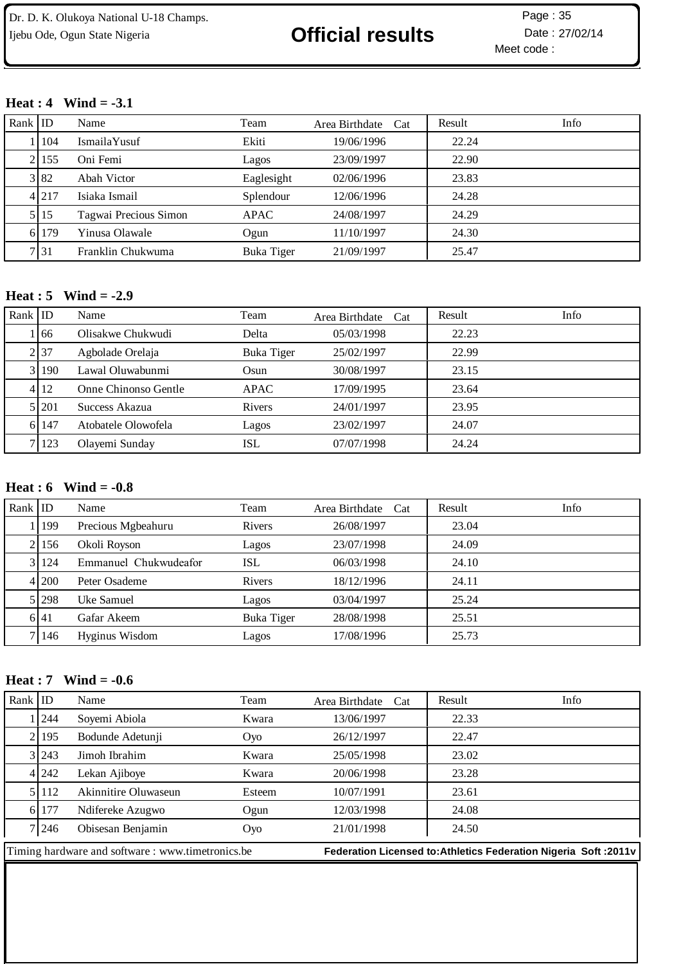# Ijebu Ode, Ogun State Nigeria **Christian Container Christian Date** : 27/02/14

Meet code : Page: 35

### **Heat : 4 Wind = -3.1**

| Rank $ $ ID |         | Name                  | Team        | Area Birthdate Cat | Info<br>Result |
|-------------|---------|-----------------------|-------------|--------------------|----------------|
|             | 1104    | IsmailaYusuf          | Ekiti       | 19/06/1996         | 22.24          |
|             | 2 155   | Oni Femi              | Lagos       | 23/09/1997         | 22.90          |
|             | 3 82    | Abah Victor           | Eaglesight  | 02/06/1996         | 23.83          |
|             | 4 2 1 7 | Isiaka Ismail         | Splendour   | 12/06/1996         | 24.28          |
|             | 5 15    | Tagwai Precious Simon | <b>APAC</b> | 24/08/1997         | 24.29          |
|             | 6 179   | Yinusa Olawale        | Ogun        | 11/10/1997         | 24.30          |
|             | 7 31    | Franklin Chukwuma     | Buka Tiger  | 21/09/1997         | 25.47          |

### **Heat : 5 Wind = -2.9**

| Rank ID |         | Name                 | Team        | Area Birthdate Cat | Info<br>Result |
|---------|---------|----------------------|-------------|--------------------|----------------|
|         | l 166   | Olisakwe Chukwudi    | Delta       | 05/03/1998         | 22.23          |
|         | 2 37    | Agbolade Orelaja     | Buka Tiger  | 25/02/1997         | 22.99          |
|         | 3 190   | Lawal Oluwabunmi     | Osun        | 30/08/1997         | 23.15          |
|         | 4 1 1 2 | Onne Chinonso Gentle | <b>APAC</b> | 17/09/1995         | 23.64          |
|         | 5 201   | Success Akazua       | Rivers      | 24/01/1997         | 23.95          |
|         | 6 147   | Atobatele Olowofela  | Lagos       | 23/02/1997         | 24.07          |
|         | 7 123   | Olayemi Sunday       | ISL         | 07/07/1998         | 24.24          |

### **Heat : 6 Wind = -0.8**

| $Rank$ ID |         | Name                  | Team       | Area Birthdate<br>Cat | Result | Info |
|-----------|---------|-----------------------|------------|-----------------------|--------|------|
|           | 1199    | Precious Mgbeahuru    | Rivers     | 26/08/1997            | 23.04  |      |
|           | 2.156   | Okoli Royson          | Lagos      | 23/07/1998            | 24.09  |      |
|           | 3 124   | Emmanuel Chukwudeafor | ISL        | 06/03/1998            | 24.10  |      |
|           | 4 200   | Peter Osademe         | Rivers     | 18/12/1996            | 24.11  |      |
|           | 5 298   | Uke Samuel            | Lagos      | 03/04/1997            | 25.24  |      |
|           | 6141    | Gafar Akeem           | Buka Tiger | 28/08/1998            | 25.51  |      |
|           | 7   146 | Hyginus Wisdom        | Lagos      | 17/08/1996            | 25.73  |      |

### **Heat : 7 Wind = -0.6**

| Rank $ $ ID |                                                  | Name                 | Team   | Area Birthdate<br>Cat | Info<br>Result                                                    |
|-------------|--------------------------------------------------|----------------------|--------|-----------------------|-------------------------------------------------------------------|
|             | 1244                                             | Soyemi Abiola        | Kwara  | 13/06/1997            | 22.33                                                             |
|             | 2195                                             | Bodunde Adetunji     | Oyo    | 26/12/1997            | 22.47                                                             |
|             | 3 243                                            | Jimoh Ibrahim        | Kwara  | 25/05/1998            | 23.02                                                             |
|             | 4 242                                            | Lekan Ajiboye        | Kwara  | 20/06/1998            | 23.28                                                             |
|             | 5 1 1 1 2                                        | Akinnitire Oluwaseun | Esteem | 10/07/1991            | 23.61                                                             |
|             | 6 177                                            | Ndifereke Azugwo     | Ogun   | 12/03/1998            | 24.08                                                             |
|             | 7 246                                            | Obisesan Benjamin    | Oyo    | 21/01/1998            | 24.50                                                             |
|             | Timing hardware and software: www.timetronics.be |                      |        |                       | Federation Licensed to: Athletics Federation Nigeria Soft : 2011v |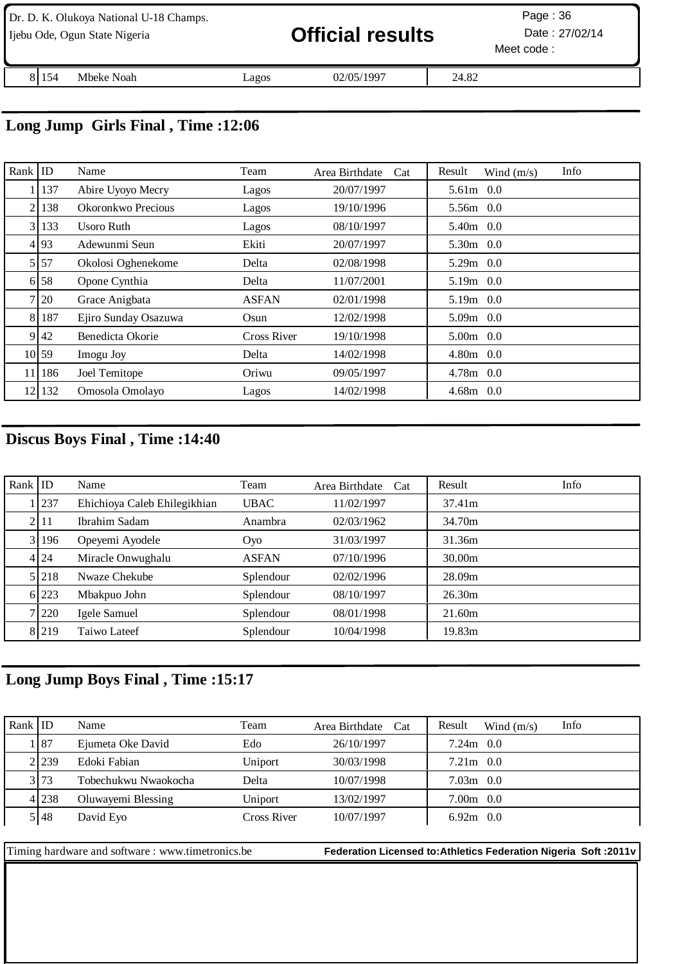|       | Dr. D. K. Olukoya National U-18 Champs.<br>Ijebu Ode, Ogun State Nigeria |       | <b>Official results</b> |       | Page: $36$<br>Date: 27/02/14<br>Meet code: |
|-------|--------------------------------------------------------------------------|-------|-------------------------|-------|--------------------------------------------|
| 81154 | Mbeke Noah                                                               | Lagos | 02/05/1997              | 24.82 |                                            |

## **Long Jump Girls Final , Time :12:06**

| Rank           | ID     | Name                 | Team               | Area Birthdate<br>Cat | Info<br>Result<br>Wind $(m/s)$ |
|----------------|--------|----------------------|--------------------|-----------------------|--------------------------------|
|                | 137    | Abire Uyoyo Mecry    | Lagos              | 20/07/1997            | 5.61m 0.0                      |
| $\overline{2}$ | 138    | Okoronkwo Precious   | Lagos              | 19/10/1996            | 5.56m 0.0                      |
|                | 3 133  | Usoro Ruth           | Lagos              | 08/10/1997            | 5.40m 0.0                      |
|                | 4 93   | Adewunmi Seun        | Ekiti              | 20/07/1997            | $5.30m$ 0.0                    |
|                | 5 5 7  | Okolosi Oghenekome   | Delta              | 02/08/1998            | 5.29m 0.0                      |
|                | 6 58   | Opone Cynthia        | Delta              | 11/07/2001            | $5.19m$ 0.0                    |
|                | 7 20   | Grace Anigbata       | <b>ASFAN</b>       | 02/01/1998            | $5.19m$ 0.0                    |
|                | 8 187  | Ejiro Sunday Osazuwa | Osun               | 12/02/1998            | 5.09m 0.0                      |
|                | 9 42   | Benedicta Okorie     | <b>Cross River</b> | 19/10/1998            | $5.00m$ 0.0                    |
|                | 10 59  | Imogu Joy            | Delta              | 14/02/1998            | $4.80m$ 0.0                    |
|                | 11 186 | Joel Temitope        | Oriwu              | 09/05/1997            | $4.78m$ 0.0                    |
|                | 12 132 | Omosola Omolayo      | Lagos              | 14/02/1998            | $4.68m$ 0.0                    |

## **Discus Boys Final , Time :14:40**

| Rank $ $ ID |                  | Name                         | Team         | Area Birthdate<br>Cat | Info<br>Result |
|-------------|------------------|------------------------------|--------------|-----------------------|----------------|
|             | 237              | Ehichioya Caleb Ehilegikhian | <b>UBAC</b>  | 11/02/1997            | 37.41m         |
|             | 21 <sub>11</sub> | Ibrahim Sadam                | Anambra      | 02/03/1962            | 34.70m         |
|             | 3 196            | Opeyemi Ayodele              | Oyo          | 31/03/1997            | 31.36m         |
|             | 4 24             | Miracle Onwughalu            | <b>ASFAN</b> | 07/10/1996            | 30.00m         |
|             | 5 2 1 8          | Nwaze Chekube                | Splendour    | 02/02/1996            | 28.09m         |
|             | 6 223            | Mbakpuo John                 | Splendour    | 08/10/1997            | 26.30m         |
|             | 7 220            | Igele Samuel                 | Splendour    | 08/01/1998            | 21.60m         |
|             | 8 219            | Taiwo Lateef                 | Splendour    | 10/04/1998            | 19.83m         |

# **Long Jump Boys Final , Time :15:17**

| Rank $ $ ID |       | Name                 | Team        | Area Birthdate Cat | Info<br>Result<br>Wind $(m/s)$ |
|-------------|-------|----------------------|-------------|--------------------|--------------------------------|
|             | 87    | Ejumeta Oke David    | Edo         | 26/10/1997         | $7.24m$ 0.0                    |
|             | 2.239 | Edoki Fabian         | Uniport     | 30/03/1998         | $7.21m$ 0.0                    |
|             | 3 73  | Tobechukwu Nwaokocha | Delta       | 10/07/1998         | $7.03m$ 0.0                    |
|             | 4 238 | Oluwayemi Blessing   | Uniport     | 13/02/1997         | $7.00m$ 0.0                    |
|             | 5148  | David Eyo            | Cross River | 10/07/1997         | $6.92m$ 0.0                    |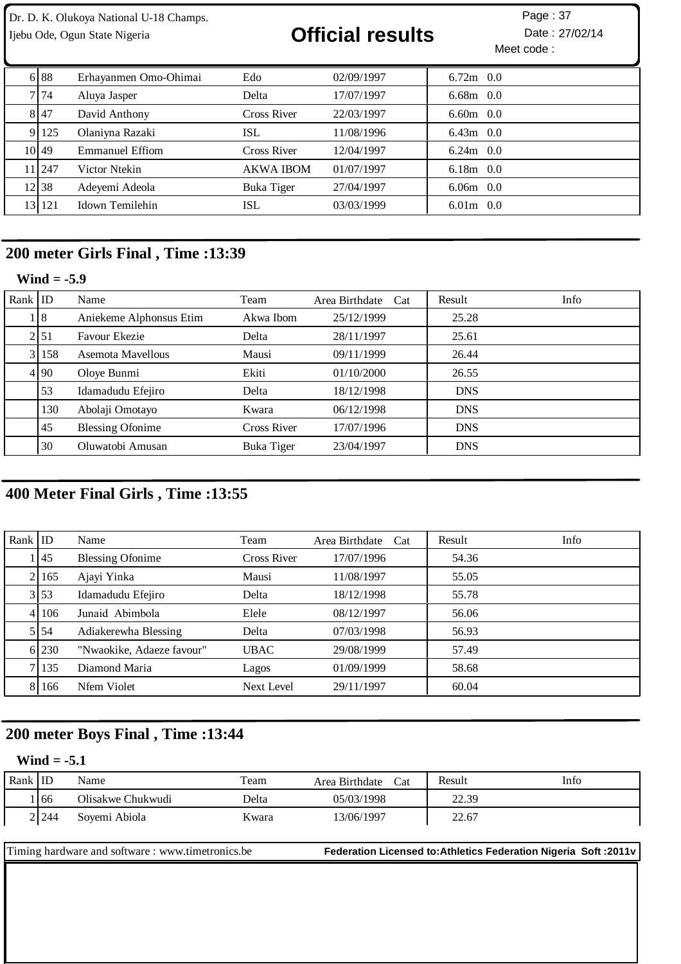| Dr. D. K. Olukoya National U-18 Champs. | Page: 37 |
|-----------------------------------------|----------|
|-----------------------------------------|----------|

# Ijebu Ode, Ogun State Nigeria **Contract Contract Official results** Date : 27/02/14

| 6 8 8   | Erhayanmen Omo-Ohimai | Edo               | 02/09/1997 | $6.72m$ 0.0 |
|---------|-----------------------|-------------------|------------|-------------|
| 7174    | Aluya Jasper          | Delta             | 17/07/1997 | $6.68m$ 0.0 |
| 8 47    | David Anthony         | Cross River       | 22/03/1997 | $6.60m$ 0.0 |
| 9 125   | Olaniyna Razaki       | ISL               | 11/08/1996 | $6.43m$ 0.0 |
| 10149   | Emmanuel Effiom       | Cross River       | 12/04/1997 | $6.24m$ 0.0 |
| 11 247  | Victor Ntekin         | <b>AKWA IBOM</b>  | 01/07/1997 | $6.18m$ 0.0 |
| 12 38   | Adeyemi Adeola        | <b>Buka Tiger</b> | 27/04/1997 | $6.06m$ 0.0 |
| 13  121 | Idown Temilehin       | ISL               | 03/03/1999 | $6.01m$ 0.0 |

## **200 meter Girls Final , Time :13:39**

### **Wind = -5.9**

| Rank $ $ ID |                  | Name                    | Team        | Area Birthdate Cat | Result     | Info |
|-------------|------------------|-------------------------|-------------|--------------------|------------|------|
|             | 18               | Aniekeme Alphonsus Etim | Akwa Ibom   | 25/12/1999         | 25.28      |      |
|             | 21 <sub>51</sub> | Favour Ekezie           | Delta       | 28/11/1997         | 25.61      |      |
|             | 3 158            | Asemota Mavellous       | Mausi       | 09/11/1999         | 26.44      |      |
|             | 4 9 0            | Oloye Bunmi             | Ekiti       | 01/10/2000         | 26.55      |      |
|             | 53               | Idamadudu Efejiro       | Delta       | 18/12/1998         | <b>DNS</b> |      |
|             | 130              | Abolaji Omotayo         | Kwara       | 06/12/1998         | <b>DNS</b> |      |
|             | 45               | <b>Blessing Ofonime</b> | Cross River | 17/07/1996         | <b>DNS</b> |      |
|             | 30               | Oluwatobi Amusan        | Buka Tiger  | 23/04/1997         | <b>DNS</b> |      |

## **400 Meter Final Girls , Time :13:55**

| Rank $ $ ID |        | Name                      | Team               | Area Birthdate<br>Cat | Result | Info |
|-------------|--------|---------------------------|--------------------|-----------------------|--------|------|
|             | .I 45  | <b>Blessing Ofonime</b>   | <b>Cross River</b> | 17/07/1996            | 54.36  |      |
|             | 2 165  | Ajayi Yinka               | Mausi              | 11/08/1997            | 55.05  |      |
|             | 3 53   | Idamadudu Efejiro         | Delta              | 18/12/1998            | 55.78  |      |
|             | 4 10 6 | Junaid Abimbola           | Elele              | 08/12/1997            | 56.06  |      |
|             | 5 54   | Adiakerewha Blessing      | Delta              | 07/03/1998            | 56.93  |      |
|             | 6 230  | "Nwaokike, Adaeze favour" | <b>UBAC</b>        | 29/08/1999            | 57.49  |      |
|             | 7135   | Diamond Maria             | Lagos              | 01/09/1999            | 58.68  |      |
|             | 8 16 6 | Nfem Violet               | <b>Next Level</b>  | 29/11/1997            | 60.04  |      |

## **200 meter Boys Final , Time :13:44**

### **Wind = -5.1**

| Rank $ $ ID |       | Name              | Team  | Area Birthdate<br>Cat | Result | Info |
|-------------|-------|-------------------|-------|-----------------------|--------|------|
|             | 166   | Olisakwe Chukwudi | Delta | 05/03/1998            | 22.39  |      |
|             | 2 244 | Sovemi Abiola     | Kwara | 13/06/1997            | 22.67  |      |